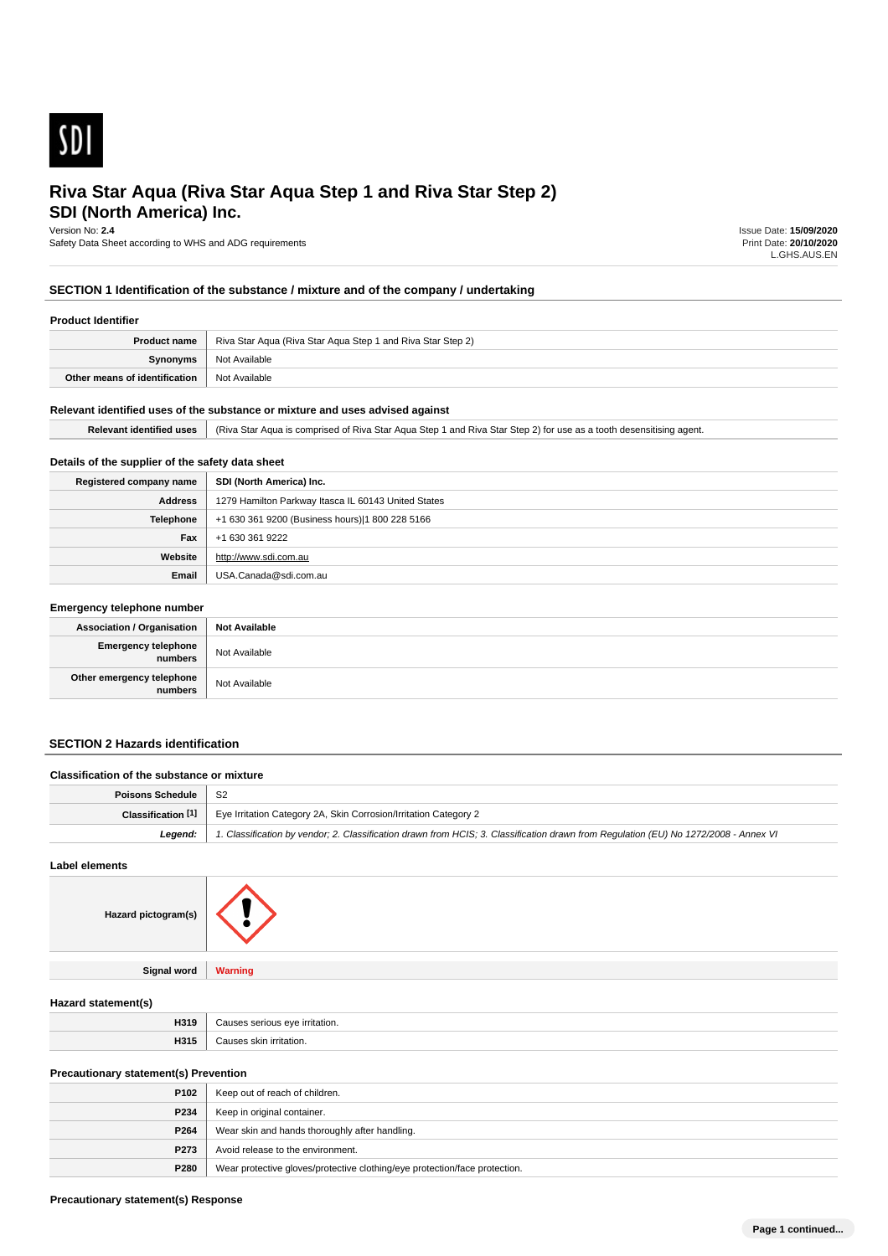

# **SDI (North America) Inc. Riva Star Aqua (Riva Star Aqua Step 1 and Riva Star Step 2)**

Version No: **2.4**

Safety Data Sheet according to WHS and ADG requirements

Issue Date: **15/09/2020** Print Date: **20/10/2020** L.GHS.AUS.EN

### **SECTION 1 Identification of the substance / mixture and of the company / undertaking**

#### **Product Identifier**

| Product name                  | Riva Star Aqua (Riva Star Aqua Step 1 and Riva Star Step 2) |
|-------------------------------|-------------------------------------------------------------|
| Synonyms                      | Not Available                                               |
| Other means of identification | Not Available                                               |

#### **Relevant identified uses of the substance or mixture and uses advised against**

| <b>Relevant identified uses</b> | (Riva Star Aqua is comprised of Riva Star Aqua Step 1 and Riva Star Step 2) for use as a tooth desensitising agent. |
|---------------------------------|---------------------------------------------------------------------------------------------------------------------|

### **Details of the supplier of the safety data sheet**

| Registered company name | SDI (North America) Inc.                            |
|-------------------------|-----------------------------------------------------|
| <b>Address</b>          | 1279 Hamilton Parkway Itasca IL 60143 United States |
| Telephone               | +1 630 361 9200 (Business hours) 1 800 228 5166     |
| Fax                     | +1 630 361 9222                                     |
| Website                 | http://www.sdi.com.au                               |
| Email                   | USA.Canada@sdi.com.au                               |

#### **Emergency telephone number**

| <b>Association / Organisation</b>    | <b>Not Available</b> |
|--------------------------------------|----------------------|
| Emergency telephone<br>numbers       | Not Available        |
| Other emergency telephone<br>numbers | Not Available        |

### **SECTION 2 Hazards identification**

# **Classification of the substance or mixture Poisons Schedule** S2 **Classification <sup>[1]</sup>** Eye Irritation Category 2A, Skin Corrosion/Irritation Category 2 Legend: 1. Classification by vendor; 2. Classification drawn from HCIS; 3. Classification drawn from Regulation (EU) No 1272/2008 - Annex VI

#### **Label elements**

| Hazard pictogram(s) |                |
|---------------------|----------------|
| <b>Signal word</b>  | <b>Warning</b> |

#### **Hazard statement(s)**

| . .                         |                                       |
|-----------------------------|---------------------------------------|
| 11046<br>пэн<br>____        | $\cdots$<br>$\sim$<br>----<br>tation. |
| <b>LID4</b><br><b>H</b> old | $\sim$<br>n                           |

### **Precautionary statement(s) Prevention**

| P <sub>102</sub> | Keep out of reach of children.                                             |
|------------------|----------------------------------------------------------------------------|
| P234             | Keep in original container.                                                |
| P264             | Wear skin and hands thoroughly after handling.                             |
| P273             | Avoid release to the environment.                                          |
| P280             | Wear protective gloves/protective clothing/eye protection/face protection. |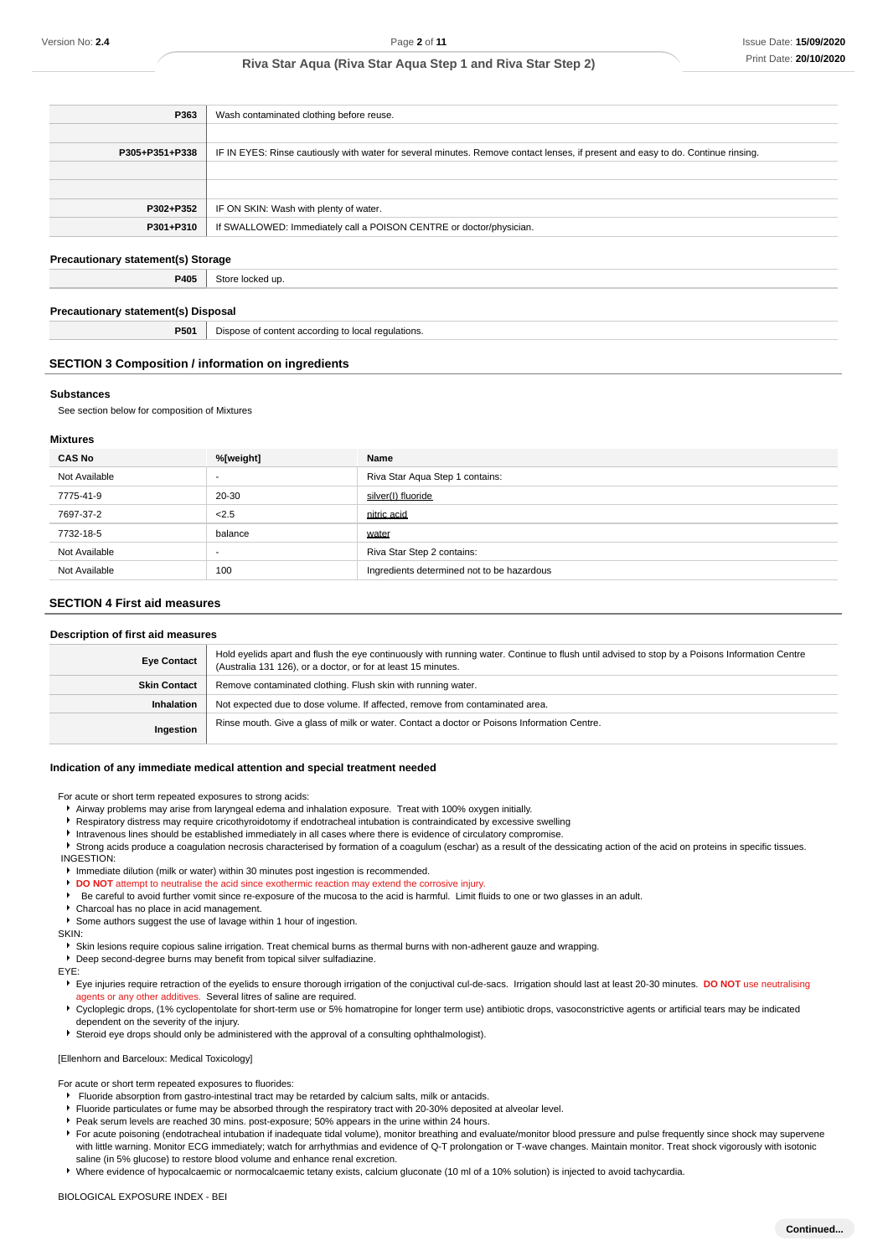| P363           | Wash contaminated clothing before reuse.                                                                                         |
|----------------|----------------------------------------------------------------------------------------------------------------------------------|
|                |                                                                                                                                  |
| P305+P351+P338 | IF IN EYES: Rinse cautiously with water for several minutes. Remove contact lenses, if present and easy to do. Continue rinsing. |
|                |                                                                                                                                  |
|                |                                                                                                                                  |
| P302+P352      | IF ON SKIN: Wash with plenty of water.                                                                                           |
| P301+P310      | If SWALLOWED: Immediately call a POISON CENTRE or doctor/physician.                                                              |
|                |                                                                                                                                  |

### **Precautionary statement(s) Storage**

**P405** Store locked up.

#### **Precautionary statement(s) Disposal**

**P501** Dispose of content according to local regulations.

#### **SECTION 3 Composition / information on ingredients**

#### **Substances**

See section below for composition of Mixtures

#### **Mixtures**

| <b>CAS No</b> | %[weight] | Name                                       |
|---------------|-----------|--------------------------------------------|
| Not Available | -         | Riva Star Aqua Step 1 contains:            |
| 7775-41-9     | 20-30     | silver(I) fluoride                         |
| 7697-37-2     | 2.5       | nitric acid                                |
| 7732-18-5     | balance   | water                                      |
| Not Available | -         | Riva Star Step 2 contains:                 |
| Not Available | 100       | Ingredients determined not to be hazardous |

### **SECTION 4 First aid measures**

#### **Description of first aid measures**

| <b>Eye Contact</b>  | Hold eyelids apart and flush the eye continuously with running water. Continue to flush until advised to stop by a Poisons Information Centre<br>(Australia 131 126), or a doctor, or for at least 15 minutes. |
|---------------------|----------------------------------------------------------------------------------------------------------------------------------------------------------------------------------------------------------------|
| <b>Skin Contact</b> | Remove contaminated clothing. Flush skin with running water.                                                                                                                                                   |
| Inhalation          | Not expected due to dose volume. If affected, remove from contaminated area.                                                                                                                                   |
| Ingestion           | Rinse mouth. Give a glass of milk or water. Contact a doctor or Poisons Information Centre.                                                                                                                    |

#### **Indication of any immediate medical attention and special treatment needed**

For acute or short term repeated exposures to strong acids:

- Airway problems may arise from laryngeal edema and inhalation exposure. Treat with 100% oxygen initially.
- **F** Respiratory distress may require cricothyroidotomy if endotracheal intubation is contraindicated by excessive swelling
- Intravenous lines should be established immediately in all cases where there is evidence of circulatory compromise.
- Strong acids produce a coagulation necrosis characterised by formation of a coagulum (eschar) as a result of the dessicating action of the acid on proteins in specific tissues. INGESTION:
- Immediate dilution (milk or water) within 30 minutes post ingestion is recommended.
- **DO NOT** attempt to neutralise the acid since exothermic reaction may extend the corrosive injury.
- Be careful to avoid further vomit since re-exposure of the mucosa to the acid is harmful. Limit fluids to one or two glasses in an adult.
- Charcoal has no place in acid management.
- Some authors suggest the use of lavage within 1 hour of ingestion.

SKIN:

- Skin lesions require copious saline irrigation. Treat chemical burns as thermal burns with non-adherent gauze and wrapping.
- Deep second-degree burns may benefit from topical silver sulfadiazine.

EYE:

- Eye injuries require retraction of the eyelids to ensure thorough irrigation of the conjuctival cul-de-sacs. Irrigation should last at least 20-30 minutes. **DO NOT** use neutralising agents or any other additives. Several litres of saline are required.
- ▶ Cycloplegic drops, (1% cyclopentolate for short-term use or 5% homatropine for longer term use) antibiotic drops, vasoconstrictive agents or artificial tears may be indicated dependent on the severity of the injury.
- Steroid eye drops should only be administered with the approval of a consulting ophthalmologist).

#### [Ellenhorn and Barceloux: Medical Toxicology]

For acute or short term repeated exposures to fluorides:

- Fluoride absorption from gastro-intestinal tract may be retarded by calcium salts, milk or antacids.
- Fluoride particulates or fume may be absorbed through the respiratory tract with 20-30% deposited at alveolar level.
- Peak serum levels are reached 30 mins. post-exposure; 50% appears in the urine within 24 hours.
- F For acute poisoning (endotracheal intubation if inadequate tidal volume), monitor breathing and evaluate/monitor blood pressure and pulse frequently since shock may supervene with little warning. Monitor ECG immediately; watch for arrhythmias and evidence of Q-T prolongation or T-wave changes. Maintain monitor. Treat shock vigorously with isotonic saline (in 5% glucose) to restore blood volume and enhance renal excretion.

Where evidence of hypocalcaemic or normocalcaemic tetany exists, calcium gluconate (10 ml of a 10% solution) is injected to avoid tachycardia.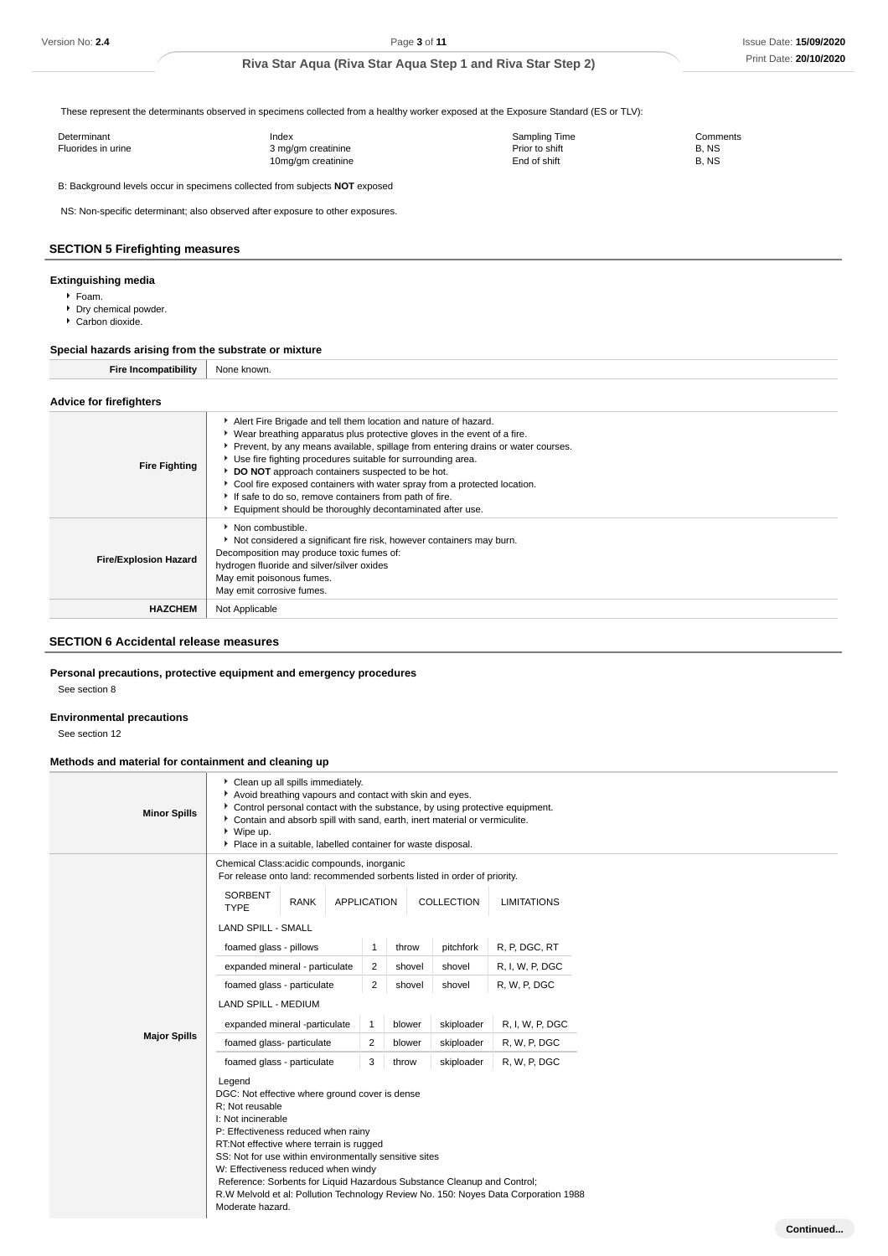These represent the determinants observed in specimens collected from a healthy worker exposed at the Exposure Standard (ES or TLV):

| Determinant        | Index              | Sampling Time  | Comments |
|--------------------|--------------------|----------------|----------|
| Fluorides in urine | 3 mg/gm creatinine | Prior to shift | B. NS    |
|                    | 10mg/gm creatinine | End of shift   | B. NS    |

B: Background levels occur in specimens collected from subjects **NOT** exposed

NS: Non-specific determinant; also observed after exposure to other exposures.

### **SECTION 5 Firefighting measures**

### **Extinguishing media**

- Foam.
- **P** Dry chemical powder.
- Carbon dioxide.

### **Special hazards arising from the substrate or mixture**

**Fire Incompatibility** None known.

#### **Advice for firefighters**

| <b>Fire Fighting</b>         | Alert Fire Brigade and tell them location and nature of hazard.<br>• Wear breathing apparatus plus protective gloves in the event of a fire.<br>▶ Prevent, by any means available, spillage from entering drains or water courses.<br>Use fire fighting procedures suitable for surrounding area.<br>DO NOT approach containers suspected to be hot.<br>• Cool fire exposed containers with water spray from a protected location.<br>If safe to do so, remove containers from path of fire.<br>Equipment should be thoroughly decontaminated after use. |
|------------------------------|----------------------------------------------------------------------------------------------------------------------------------------------------------------------------------------------------------------------------------------------------------------------------------------------------------------------------------------------------------------------------------------------------------------------------------------------------------------------------------------------------------------------------------------------------------|
| <b>Fire/Explosion Hazard</b> | $\blacktriangleright$ Non combustible.<br>Not considered a significant fire risk, however containers may burn.<br>Decomposition may produce toxic fumes of:<br>hydrogen fluoride and silver/silver oxides<br>May emit poisonous fumes.<br>May emit corrosive fumes.                                                                                                                                                                                                                                                                                      |
| <b>HAZCHEM</b>               | Not Applicable                                                                                                                                                                                                                                                                                                                                                                                                                                                                                                                                           |

### **SECTION 6 Accidental release measures**

#### **Personal precautions, protective equipment and emergency procedures**

See section 8

### **Environmental precautions**

See section 12

### **Methods and material for containment and cleaning up**

| <b>Minor Spills</b> | Control personal contact with the substance, by using protective equipment.<br>Contain and absorb spill with sand, earth, inert material or vermiculite.<br>▶ Wipe up.<br>Place in a suitable, labelled container for waste disposal.                                                                                                                                                                                                                                       |                    |        | Avoid breathing vapours and contact with skin and eyes. |                    |  |
|---------------------|-----------------------------------------------------------------------------------------------------------------------------------------------------------------------------------------------------------------------------------------------------------------------------------------------------------------------------------------------------------------------------------------------------------------------------------------------------------------------------|--------------------|--------|---------------------------------------------------------|--------------------|--|
|                     | Chemical Class:acidic compounds, inorganic<br>For release onto land: recommended sorbents listed in order of priority.                                                                                                                                                                                                                                                                                                                                                      |                    |        |                                                         |                    |  |
|                     | SORBENT<br><b>RANK</b><br><b>TYPE</b>                                                                                                                                                                                                                                                                                                                                                                                                                                       | <b>APPLICATION</b> |        | COLLECTION                                              | <b>LIMITATIONS</b> |  |
|                     | <b>LAND SPILL - SMALL</b>                                                                                                                                                                                                                                                                                                                                                                                                                                                   |                    |        |                                                         |                    |  |
|                     | foamed glass - pillows                                                                                                                                                                                                                                                                                                                                                                                                                                                      | $\mathbf{1}$       | throw  | pitchfork                                               | R, P, DGC, RT      |  |
|                     | expanded mineral - particulate                                                                                                                                                                                                                                                                                                                                                                                                                                              | 2                  | shovel | shovel                                                  | R, I, W, P, DGC    |  |
|                     | foamed glass - particulate                                                                                                                                                                                                                                                                                                                                                                                                                                                  | 2                  | shovel | shovel                                                  | R, W, P, DGC       |  |
|                     | <b>LAND SPILL - MEDIUM</b>                                                                                                                                                                                                                                                                                                                                                                                                                                                  |                    |        |                                                         |                    |  |
|                     | expanded mineral -particulate                                                                                                                                                                                                                                                                                                                                                                                                                                               | $\mathbf{1}$       | blower | skiploader                                              | R, I, W, P, DGC    |  |
| <b>Major Spills</b> | foamed glass- particulate                                                                                                                                                                                                                                                                                                                                                                                                                                                   | 2                  | blower | skiploader                                              | R, W, P, DGC       |  |
|                     | foamed glass - particulate                                                                                                                                                                                                                                                                                                                                                                                                                                                  | 3                  | throw  | skiploader                                              | R, W, P, DGC       |  |
|                     | Legend<br>DGC: Not effective where ground cover is dense<br>R: Not reusable<br>I: Not incinerable<br>P: Effectiveness reduced when rainy<br>RT:Not effective where terrain is rugged<br>SS: Not for use within environmentally sensitive sites<br>W: Effectiveness reduced when windy<br>Reference: Sorbents for Liquid Hazardous Substance Cleanup and Control;<br>R.W Melvold et al: Pollution Technology Review No. 150: Noyes Data Corporation 1988<br>Moderate hazard. |                    |        |                                                         |                    |  |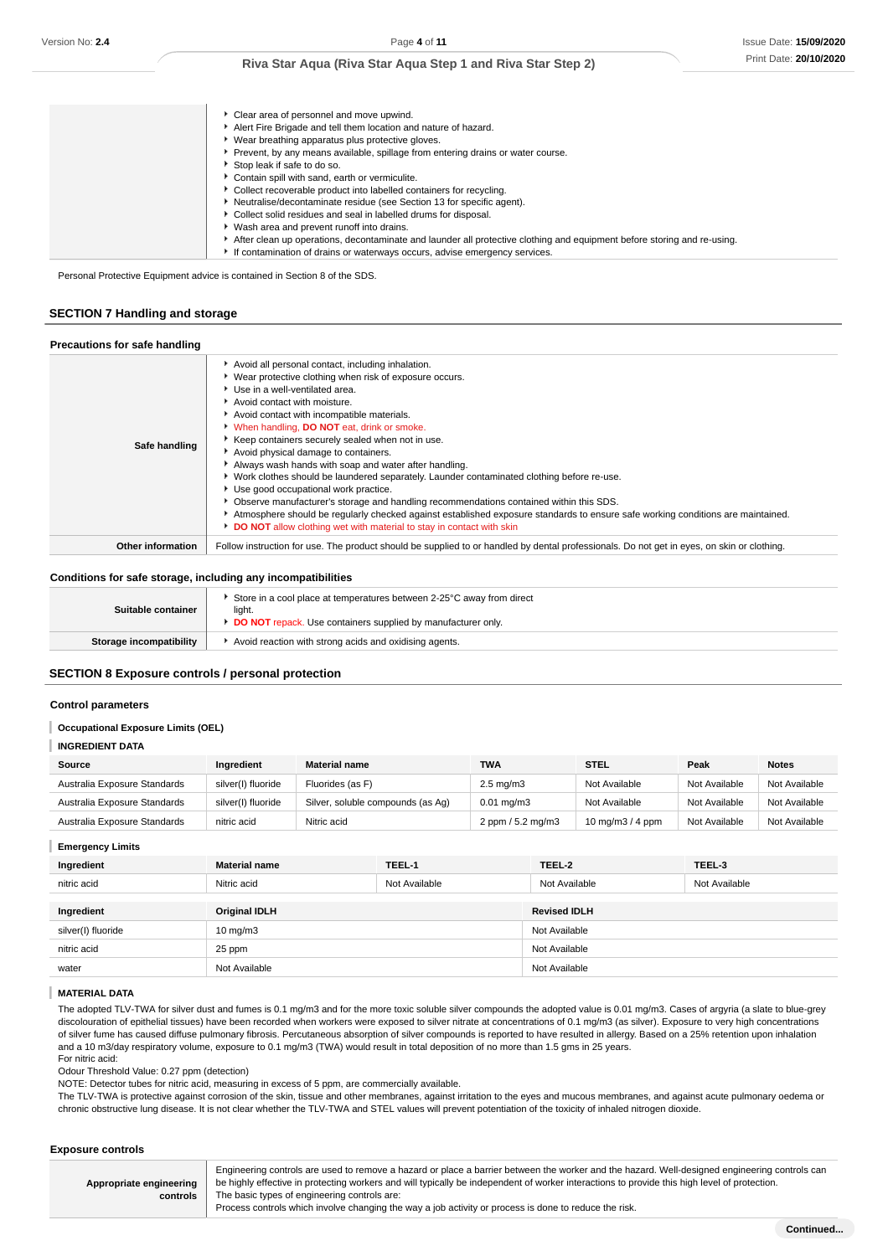| Clear area of personnel and move upwind.                                                                                |
|-------------------------------------------------------------------------------------------------------------------------|
| Alert Fire Brigade and tell them location and nature of hazard.                                                         |
| ▶ Wear breathing apparatus plus protective gloves.                                                                      |
| Prevent, by any means available, spillage from entering drains or water course.                                         |
| Stop leak if safe to do so.                                                                                             |
| Contain spill with sand, earth or vermiculite.                                                                          |
| Collect recoverable product into labelled containers for recycling.                                                     |
| Neutralise/decontaminate residue (see Section 13 for specific agent).                                                   |
| Collect solid residues and seal in labelled drums for disposal.                                                         |
| Wash area and prevent runoff into drains.                                                                               |
| After clean up operations, decontaminate and launder all protective clothing and equipment before storing and re-using. |
| If contamination of drains or waterways occurs, advise emergency services.                                              |

Personal Protective Equipment advice is contained in Section 8 of the SDS.

### **SECTION 7 Handling and storage**

| Precautions for safe handling |                                                                                                                                                                                                                                                                                                                                                                                                                                                                                                                                                                                                                                                                                                                                                                                                                                                                                         |
|-------------------------------|-----------------------------------------------------------------------------------------------------------------------------------------------------------------------------------------------------------------------------------------------------------------------------------------------------------------------------------------------------------------------------------------------------------------------------------------------------------------------------------------------------------------------------------------------------------------------------------------------------------------------------------------------------------------------------------------------------------------------------------------------------------------------------------------------------------------------------------------------------------------------------------------|
| Safe handling                 | Avoid all personal contact, including inhalation.<br>▶ Wear protective clothing when risk of exposure occurs.<br>Use in a well-ventilated area.<br>Avoid contact with moisture.<br>Avoid contact with incompatible materials.<br><b>When handling, DO NOT eat, drink or smoke.</b><br>▶ Keep containers securely sealed when not in use.<br>Avoid physical damage to containers.<br>Always wash hands with soap and water after handling.<br>► Work clothes should be laundered separately. Launder contaminated clothing before re-use.<br>Use good occupational work practice.<br>• Observe manufacturer's storage and handling recommendations contained within this SDS.<br>Atmosphere should be regularly checked against established exposure standards to ensure safe working conditions are maintained.<br>DO NOT allow clothing wet with material to stay in contact with skin |
| <b>Other information</b>      | Follow instruction for use. The product should be supplied to or handled by dental professionals. Do not get in eyes, on skin or clothing.                                                                                                                                                                                                                                                                                                                                                                                                                                                                                                                                                                                                                                                                                                                                              |

### **Conditions for safe storage, including any incompatibilities**

| Suitable container      | Store in a cool place at temperatures between 2-25°C away from direct<br>light.<br><b>DO NOT</b> repack. Use containers supplied by manufacturer only |
|-------------------------|-------------------------------------------------------------------------------------------------------------------------------------------------------|
| Storage incompatibility | Avoid reaction with strong acids and oxidising agents.                                                                                                |

#### **SECTION 8 Exposure controls / personal protection**

#### **Control parameters**

#### I **Occupational Exposure Limits (OEL)**

#### **INGREDIENT DATA**

| Source                       | Ingredient         | <b>Material name</b>              | TWA                   | <b>STEL</b>       | Peak          | <b>Notes</b>  |
|------------------------------|--------------------|-----------------------------------|-----------------------|-------------------|---------------|---------------|
| Australia Exposure Standards | silver(I) fluoride | Fluorides (as F)                  | $2.5 \text{ mg/m}$ 3  | Not Available     | Not Available | Not Available |
| Australia Exposure Standards | silver(I) fluoride | Silver, soluble compounds (as Aq) | $0.01 \text{ mg/m}$ 3 | Not Available     | Not Available | Not Available |
| Australia Exposure Standards | nitric acid        | Nitric acid                       | 2 ppm / 5.2 mg/m3     | 10 mg/m $3/4$ ppm | Not Available | Not Available |

### **Emergency Limits**

| Ingredient         | <b>Material name</b> | TEEL-1        | TEEL-2              | TEEL-3        |
|--------------------|----------------------|---------------|---------------------|---------------|
| nitric acid        | Nitric acid          | Not Available | Not Available       | Not Available |
|                    |                      |               |                     |               |
| Ingredient         | <b>Original IDLH</b> |               | <b>Revised IDLH</b> |               |
| silver(I) fluoride | $10 \text{ mg/m}$    |               | Not Available       |               |
| nitric acid        | 25 ppm               |               | Not Available       |               |
| water              | Not Available        |               | Not Available       |               |

### **MATERIAL DATA**

The adopted TLV-TWA for silver dust and fumes is 0.1 mg/m3 and for the more toxic soluble silver compounds the adopted value is 0.01 mg/m3. Cases of argyria (a slate to blue-grey discolouration of epithelial tissues) have been recorded when workers were exposed to silver nitrate at concentrations of 0.1 mg/m3 (as silver). Exposure to very high concentrations of silver fume has caused diffuse pulmonary fibrosis. Percutaneous absorption of silver compounds is reported to have resulted in allergy. Based on a 25% retention upon inhalation and a 10 m3/day respiratory volume, exposure to 0.1 mg/m3 (TWA) would result in total deposition of no more than 1.5 gms in 25 years. For nitric acid:

Odour Threshold Value: 0.27 ppm (detection)

NOTE: Detector tubes for nitric acid, measuring in excess of 5 ppm, are commercially available.

The TLV-TWA is protective against corrosion of the skin, tissue and other membranes, against irritation to the eyes and mucous membranes, and against acute pulmonary oedema or chronic obstructive lung disease. It is not clear whether the TLV-TWA and STEL values will prevent potentiation of the toxicity of inhaled nitrogen dioxide.

### **Exposure controls**

|                         | Engineering controls are used to remove a hazard or place a barrier between the worker and the hazard. Well-designed engineering controls can |  |  |
|-------------------------|-----------------------------------------------------------------------------------------------------------------------------------------------|--|--|
| Appropriate engineering | be highly effective in protecting workers and will typically be independent of worker interactions to provide this high level of protection.  |  |  |
| controls                | The basic types of engineering controls are:                                                                                                  |  |  |
|                         | Process controls which involve changing the way a job activity or process is done to reduce the risk.                                         |  |  |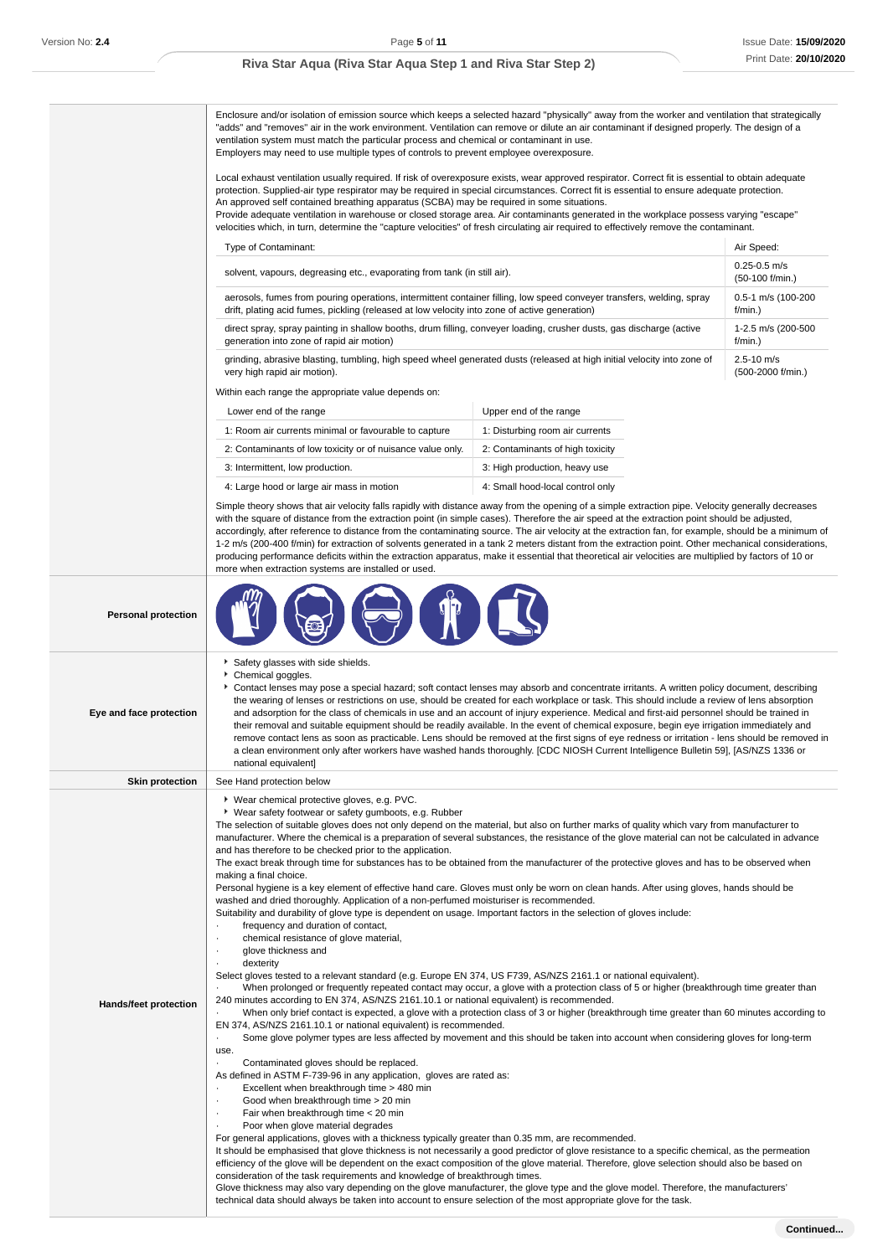**Personal protection**

### **Riva Star Aqua (Riva Star Aqua Step 1 and Riva Star Step 2)**

Enclosure and/or isolation of emission source which keeps a selected hazard "physically" away from the worker and ventilation that strategically "adds" and "removes" air in the work environment. Ventilation can remove or dilute an air contaminant if designed properly. The design of a ventilation system must match the particular process and chemical or contaminant in use. Employers may need to use multiple types of controls to prevent employee overexposure.

Local exhaust ventilation usually required. If risk of overexposure exists, wear approved respirator. Correct fit is essential to obtain adequate protection. Supplied-air type respirator may be required in special circumstances. Correct fit is essential to ensure adequate protection. An approved self contained breathing apparatus (SCBA) may be required in some situations.

Provide adequate ventilation in warehouse or closed storage area. Air contaminants generated in the workplace possess varying "escape" velocities which, in turn, determine the "capture velocities" of fresh circulating air required to effectively remove the contaminant.

| <b>Type of Contaminant:</b>                                                                                                                                                                                            |  | Air Speed:                          |
|------------------------------------------------------------------------------------------------------------------------------------------------------------------------------------------------------------------------|--|-------------------------------------|
| solvent, vapours, degreasing etc., evaporating from tank (in still air).                                                                                                                                               |  | $0.25 - 0.5$ m/s<br>(50-100 f/min.) |
| aerosols, fumes from pouring operations, intermittent container filling, low speed conveyer transfers, welding, spray<br>drift, plating acid fumes, pickling (released at low velocity into zone of active generation) |  | 0.5-1 m/s (100-200<br>$f/min.$ )    |
| direct spray, spray painting in shallow booths, drum filling, conveyer loading, crusher dusts, gas discharge (active<br>generation into zone of rapid air motion)                                                      |  | 1-2.5 m/s (200-500<br>$f/min.$ )    |
| grinding, abrasive blasting, tumbling, high speed wheel generated dusts (released at high initial velocity into zone of<br>very high rapid air motion).                                                                |  | $2.5 - 10$ m/s<br>(500-2000 f/min.) |
| Within each range the appropriate value depends on:                                                                                                                                                                    |  |                                     |
| Lower end of the range<br>Upper end of the range                                                                                                                                                                       |  |                                     |

| Lower end of the range                                     | Upper end of the range           |
|------------------------------------------------------------|----------------------------------|
| 1: Room air currents minimal or favourable to capture      | 1: Disturbing room air currents  |
| 2: Contaminants of low toxicity or of nuisance value only. | 2: Contaminants of high toxicity |
| 3: Intermittent, low production.                           | 3: High production, heavy use    |
| 4: Large hood or large air mass in motion                  | 4: Small hood-local control only |

Simple theory shows that air velocity falls rapidly with distance away from the opening of a simple extraction pipe. Velocity generally decreases with the square of distance from the extraction point (in simple cases). Therefore the air speed at the extraction point should be adjusted, accordingly, after reference to distance from the contaminating source. The air velocity at the extraction fan, for example, should be a minimum of 1-2 m/s (200-400 f/min) for extraction of solvents generated in a tank 2 meters distant from the extraction point. Other mechanical considerations, producing performance deficits within the extraction apparatus, make it essential that theoretical air velocities are multiplied by factors of 10 or more when extraction systems are installed or used.

|  |  | -<br>- |  |
|--|--|--------|--|

| Eye and face protection | Safety glasses with side shields.<br>Chemical goggles.<br>Contact lenses may pose a special hazard; soft contact lenses may absorb and concentrate irritants. A written policy document, describing<br>the wearing of lenses or restrictions on use, should be created for each workplace or task. This should include a review of lens absorption<br>and adsorption for the class of chemicals in use and an account of injury experience. Medical and first-aid personnel should be trained in<br>their removal and suitable equipment should be readily available. In the event of chemical exposure, begin eye irrigation immediately and<br>remove contact lens as soon as practicable. Lens should be removed at the first signs of eye redness or irritation - lens should be removed in<br>a clean environment only after workers have washed hands thoroughly. [CDC NIOSH Current Intelligence Bulletin 59], [AS/NZS 1336 or<br>national equivalent]                                                                                                                                                                                                                                                                                                                                                                                                                                                                                                                                                                                                                                                                                                                                                                                                                                                                                                                                                                                                                                                                                                                                                                                                                                                                                                                                                                                                                                                                                                                                                                                                                                                                                                                                                                                                                                                                                                                                                                        |
|-------------------------|--------------------------------------------------------------------------------------------------------------------------------------------------------------------------------------------------------------------------------------------------------------------------------------------------------------------------------------------------------------------------------------------------------------------------------------------------------------------------------------------------------------------------------------------------------------------------------------------------------------------------------------------------------------------------------------------------------------------------------------------------------------------------------------------------------------------------------------------------------------------------------------------------------------------------------------------------------------------------------------------------------------------------------------------------------------------------------------------------------------------------------------------------------------------------------------------------------------------------------------------------------------------------------------------------------------------------------------------------------------------------------------------------------------------------------------------------------------------------------------------------------------------------------------------------------------------------------------------------------------------------------------------------------------------------------------------------------------------------------------------------------------------------------------------------------------------------------------------------------------------------------------------------------------------------------------------------------------------------------------------------------------------------------------------------------------------------------------------------------------------------------------------------------------------------------------------------------------------------------------------------------------------------------------------------------------------------------------------------------------------------------------------------------------------------------------------------------------------------------------------------------------------------------------------------------------------------------------------------------------------------------------------------------------------------------------------------------------------------------------------------------------------------------------------------------------------------------------------------------------------------------------------------------------------------------------|
| <b>Skin protection</b>  | See Hand protection below                                                                                                                                                                                                                                                                                                                                                                                                                                                                                                                                                                                                                                                                                                                                                                                                                                                                                                                                                                                                                                                                                                                                                                                                                                                                                                                                                                                                                                                                                                                                                                                                                                                                                                                                                                                                                                                                                                                                                                                                                                                                                                                                                                                                                                                                                                                                                                                                                                                                                                                                                                                                                                                                                                                                                                                                                                                                                                            |
| Hands/feet protection   | ▶ Wear chemical protective gloves, e.g. PVC.<br>• Wear safety footwear or safety gumboots, e.g. Rubber<br>The selection of suitable gloves does not only depend on the material, but also on further marks of quality which vary from manufacturer to<br>manufacturer. Where the chemical is a preparation of several substances, the resistance of the glove material can not be calculated in advance<br>and has therefore to be checked prior to the application.<br>The exact break through time for substances has to be obtained from the manufacturer of the protective gloves and has to be observed when<br>making a final choice.<br>Personal hygiene is a key element of effective hand care. Gloves must only be worn on clean hands. After using gloves, hands should be<br>washed and dried thoroughly. Application of a non-perfumed moisturiser is recommended.<br>Suitability and durability of glove type is dependent on usage. Important factors in the selection of gloves include:<br>frequency and duration of contact,<br>chemical resistance of glove material,<br>٠<br>glove thickness and<br>dexterity<br>Select gloves tested to a relevant standard (e.g. Europe EN 374, US F739, AS/NZS 2161.1 or national equivalent).<br>When prolonged or frequently repeated contact may occur, a glove with a protection class of 5 or higher (breakthrough time greater than<br>240 minutes according to EN 374, AS/NZS 2161.10.1 or national equivalent) is recommended.<br>When only brief contact is expected, a glove with a protection class of 3 or higher (breakthrough time greater than 60 minutes according to<br>EN 374, AS/NZS 2161.10.1 or national equivalent) is recommended.<br>Some glove polymer types are less affected by movement and this should be taken into account when considering gloves for long-term<br>٠<br>use.<br>Contaminated gloves should be replaced.<br>As defined in ASTM F-739-96 in any application, gloves are rated as:<br>Excellent when breakthrough time > 480 min<br>Good when breakthrough time > 20 min<br>$\cdot$<br>Fair when breakthrough time < 20 min<br>$\cdot$<br>Poor when glove material degrades<br>For general applications, gloves with a thickness typically greater than 0.35 mm, are recommended.<br>It should be emphasised that glove thickness is not necessarily a good predictor of glove resistance to a specific chemical, as the permeation<br>efficiency of the glove will be dependent on the exact composition of the glove material. Therefore, glove selection should also be based on<br>consideration of the task requirements and knowledge of breakthrough times.<br>Glove thickness may also vary depending on the glove manufacturer, the glove type and the glove model. Therefore, the manufacturers'<br>technical data should always be taken into account to ensure selection of the most appropriate glove for the task. |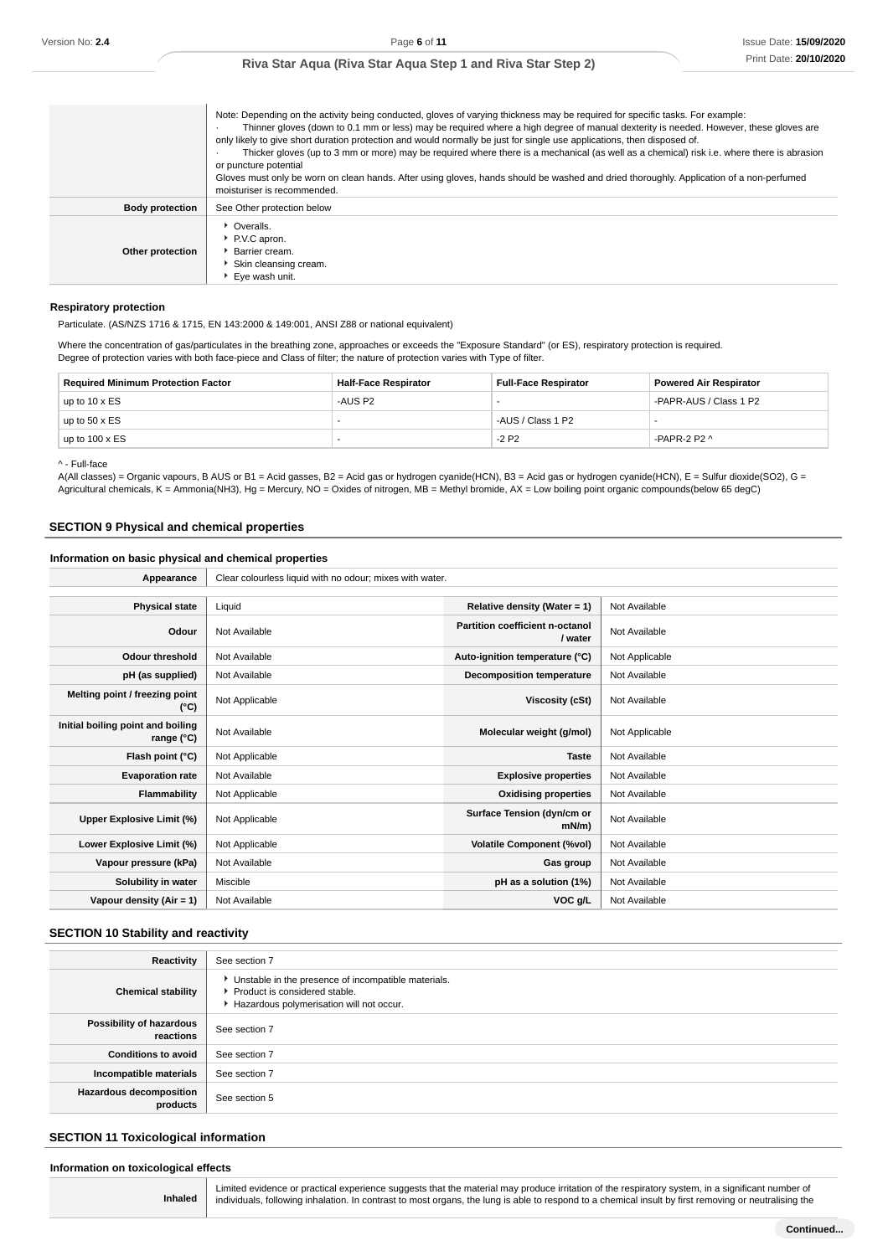|                        | Note: Depending on the activity being conducted, gloves of varying thickness may be required for specific tasks. For example:<br>Thinner gloves (down to 0.1 mm or less) may be required where a high degree of manual dexterity is needed. However, these gloves are<br>only likely to give short duration protection and would normally be just for single use applications, then disposed of.<br>Thicker gloves (up to 3 mm or more) may be required where there is a mechanical (as well as a chemical) risk i.e. where there is abrasion<br>or puncture potential<br>Gloves must only be worn on clean hands. After using gloves, hands should be washed and dried thoroughly. Application of a non-perfumed<br>moisturiser is recommended. |
|------------------------|--------------------------------------------------------------------------------------------------------------------------------------------------------------------------------------------------------------------------------------------------------------------------------------------------------------------------------------------------------------------------------------------------------------------------------------------------------------------------------------------------------------------------------------------------------------------------------------------------------------------------------------------------------------------------------------------------------------------------------------------------|
| <b>Body protection</b> | See Other protection below                                                                                                                                                                                                                                                                                                                                                                                                                                                                                                                                                                                                                                                                                                                       |
| Other protection       | • Overalls.<br>P.V.C apron.<br><b>Barrier cream.</b><br>Skin cleansing cream.<br>Eye wash unit.                                                                                                                                                                                                                                                                                                                                                                                                                                                                                                                                                                                                                                                  |

#### **Respiratory protection**

Particulate. (AS/NZS 1716 & 1715, EN 143:2000 & 149:001, ANSI Z88 or national equivalent)

Where the concentration of gas/particulates in the breathing zone, approaches or exceeds the "Exposure Standard" (or ES), respiratory protection is required. Degree of protection varies with both face-piece and Class of filter; the nature of protection varies with Type of filter.

| <b>Required Minimum Protection Factor</b> | <b>Half-Face Respirator</b> | <b>Full-Face Respirator</b> | <b>Powered Air Respirator</b> |
|-------------------------------------------|-----------------------------|-----------------------------|-------------------------------|
| up to $10 \times ES$                      | -AUS P2                     |                             | -PAPR-AUS / Class 1 P2        |
| up to $50 \times ES$                      | $\sim$                      | -AUS / Class 1 P2           |                               |
| up to $100 \times ES$                     |                             | $-2P2$                      | -PAPR-2 P2 $\land$            |

^ - Full-face

A(All classes) = Organic vapours, B AUS or B1 = Acid gasses, B2 = Acid gas or hydrogen cyanide(HCN), B3 = Acid gas or hydrogen cyanide(HCN), E = Sulfur dioxide(SO2), G = Agricultural chemicals, K = Ammonia(NH3), Hg = Mercury, NO = Oxides of nitrogen, MB = Methyl bromide, AX = Low boiling point organic compounds(below 65 degC)

#### **SECTION 9 Physical and chemical properties**

#### **Information on basic physical and chemical properties**

| Appearance                                      | Clear colourless liquid with no odour; mixes with water. |                                            |                |
|-------------------------------------------------|----------------------------------------------------------|--------------------------------------------|----------------|
|                                                 |                                                          |                                            |                |
| <b>Physical state</b>                           | Liquid                                                   | Relative density (Water = 1)               | Not Available  |
| Odour                                           | Not Available                                            | Partition coefficient n-octanol<br>/ water | Not Available  |
| <b>Odour threshold</b>                          | Not Available                                            | Auto-ignition temperature (°C)             | Not Applicable |
| pH (as supplied)                                | Not Available                                            | Decomposition temperature                  | Not Available  |
| Melting point / freezing point<br>(°C)          | Not Applicable                                           | Viscosity (cSt)                            | Not Available  |
| Initial boiling point and boiling<br>range (°C) | Not Available                                            | Molecular weight (g/mol)                   | Not Applicable |
| Flash point (°C)                                | Not Applicable                                           | <b>Taste</b>                               | Not Available  |
| <b>Evaporation rate</b>                         | Not Available                                            | <b>Explosive properties</b>                | Not Available  |
| <b>Flammability</b>                             | Not Applicable                                           | <b>Oxidising properties</b>                | Not Available  |
| Upper Explosive Limit (%)                       | Not Applicable                                           | Surface Tension (dyn/cm or<br>mN/m         | Not Available  |
| Lower Explosive Limit (%)                       | Not Applicable                                           | <b>Volatile Component (%vol)</b>           | Not Available  |
| Vapour pressure (kPa)                           | Not Available                                            | Gas group                                  | Not Available  |
| Solubility in water                             | Miscible                                                 | pH as a solution (1%)                      | Not Available  |
| Vapour density (Air = 1)                        | Not Available                                            | VOC g/L                                    | Not Available  |

#### **SECTION 10 Stability and reactivity**

| <b>Reactivity</b>                          | See section 7                                                                                                                        |
|--------------------------------------------|--------------------------------------------------------------------------------------------------------------------------------------|
| <b>Chemical stability</b>                  | • Unstable in the presence of incompatible materials.<br>▶ Product is considered stable.<br>Hazardous polymerisation will not occur. |
| Possibility of hazardous<br>reactions      | See section 7                                                                                                                        |
| <b>Conditions to avoid</b>                 | See section 7                                                                                                                        |
| Incompatible materials                     | See section 7                                                                                                                        |
| <b>Hazardous decomposition</b><br>products | See section 5                                                                                                                        |

### **SECTION 11 Toxicological information**

#### **Information on toxicological effects**

|  | Inhaled |  |  |
|--|---------|--|--|

Limited evidence or practical experience suggests that the material may produce irritation of the respiratory system, in a significant number of individuals, following inhalation. In contrast to most organs, the lung is able to respond to a chemical insult by first removing or neutralising the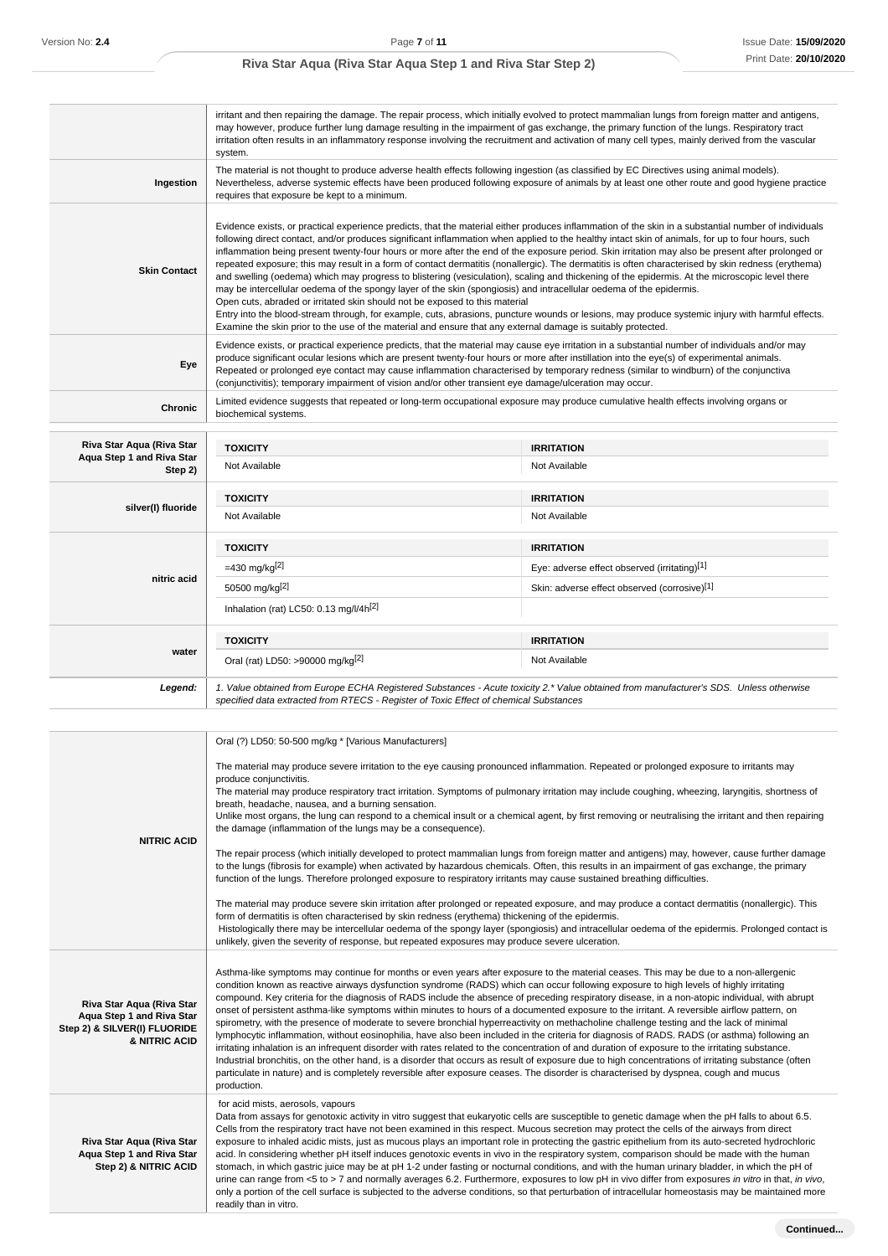|                           | may however, produce further lung damage resulting in the impairment of gas exchange, the primary function of the lungs. Respiratory tract<br>system.                                                                                                                                                                                                                                                                                                                                                                                                                                                                                                                                                                                                                                                                                                                                                                                                                                                                                                                                                                                                                                                                                            | irritant and then repairing the damage. The repair process, which initially evolved to protect mammalian lungs from foreign matter and antigens,<br>irritation often results in an inflammatory response involving the recruitment and activation of many cell types, mainly derived from the vascular |
|---------------------------|--------------------------------------------------------------------------------------------------------------------------------------------------------------------------------------------------------------------------------------------------------------------------------------------------------------------------------------------------------------------------------------------------------------------------------------------------------------------------------------------------------------------------------------------------------------------------------------------------------------------------------------------------------------------------------------------------------------------------------------------------------------------------------------------------------------------------------------------------------------------------------------------------------------------------------------------------------------------------------------------------------------------------------------------------------------------------------------------------------------------------------------------------------------------------------------------------------------------------------------------------|--------------------------------------------------------------------------------------------------------------------------------------------------------------------------------------------------------------------------------------------------------------------------------------------------------|
| Ingestion                 | The material is not thought to produce adverse health effects following ingestion (as classified by EC Directives using animal models).<br>requires that exposure be kept to a minimum.                                                                                                                                                                                                                                                                                                                                                                                                                                                                                                                                                                                                                                                                                                                                                                                                                                                                                                                                                                                                                                                          | Nevertheless, adverse systemic effects have been produced following exposure of animals by at least one other route and good hygiene practice                                                                                                                                                          |
| <b>Skin Contact</b>       | Evidence exists, or practical experience predicts, that the material either produces inflammation of the skin in a substantial number of individuals<br>following direct contact, and/or produces significant inflammation when applied to the healthy intact skin of animals, for up to four hours, such<br>inflammation being present twenty-four hours or more after the end of the exposure period. Skin irritation may also be present after prolonged or<br>repeated exposure; this may result in a form of contact dermatitis (nonallergic). The dermatitis is often characterised by skin redness (erythema)<br>and swelling (oedema) which may progress to blistering (vesiculation), scaling and thickening of the epidermis. At the microscopic level there<br>may be intercellular oedema of the spongy layer of the skin (spongiosis) and intracellular oedema of the epidermis.<br>Open cuts, abraded or irritated skin should not be exposed to this material<br>Entry into the blood-stream through, for example, cuts, abrasions, puncture wounds or lesions, may produce systemic injury with harmful effects.<br>Examine the skin prior to the use of the material and ensure that any external damage is suitably protected. |                                                                                                                                                                                                                                                                                                        |
| Eye                       | produce significant ocular lesions which are present twenty-four hours or more after instillation into the eye(s) of experimental animals.<br>Repeated or prolonged eye contact may cause inflammation characterised by temporary redness (similar to windburn) of the conjunctiva<br>(conjunctivitis); temporary impairment of vision and/or other transient eye damage/ulceration may occur.                                                                                                                                                                                                                                                                                                                                                                                                                                                                                                                                                                                                                                                                                                                                                                                                                                                   | Evidence exists, or practical experience predicts, that the material may cause eye irritation in a substantial number of individuals and/or may                                                                                                                                                        |
| Chronic                   | Limited evidence suggests that repeated or long-term occupational exposure may produce cumulative health effects involving organs or<br>biochemical systems.                                                                                                                                                                                                                                                                                                                                                                                                                                                                                                                                                                                                                                                                                                                                                                                                                                                                                                                                                                                                                                                                                     |                                                                                                                                                                                                                                                                                                        |
| Riva Star Aqua (Riva Star |                                                                                                                                                                                                                                                                                                                                                                                                                                                                                                                                                                                                                                                                                                                                                                                                                                                                                                                                                                                                                                                                                                                                                                                                                                                  |                                                                                                                                                                                                                                                                                                        |
| Aqua Step 1 and Riva Star | <b>TOXICITY</b>                                                                                                                                                                                                                                                                                                                                                                                                                                                                                                                                                                                                                                                                                                                                                                                                                                                                                                                                                                                                                                                                                                                                                                                                                                  | <b>IRRITATION</b>                                                                                                                                                                                                                                                                                      |
| Step 2)                   | Not Available                                                                                                                                                                                                                                                                                                                                                                                                                                                                                                                                                                                                                                                                                                                                                                                                                                                                                                                                                                                                                                                                                                                                                                                                                                    | Not Available                                                                                                                                                                                                                                                                                          |
|                           | <b>TOXICITY</b>                                                                                                                                                                                                                                                                                                                                                                                                                                                                                                                                                                                                                                                                                                                                                                                                                                                                                                                                                                                                                                                                                                                                                                                                                                  | <b>IRRITATION</b>                                                                                                                                                                                                                                                                                      |
| silver(I) fluoride        | Not Available                                                                                                                                                                                                                                                                                                                                                                                                                                                                                                                                                                                                                                                                                                                                                                                                                                                                                                                                                                                                                                                                                                                                                                                                                                    | Not Available                                                                                                                                                                                                                                                                                          |
|                           | <b>TOXICITY</b>                                                                                                                                                                                                                                                                                                                                                                                                                                                                                                                                                                                                                                                                                                                                                                                                                                                                                                                                                                                                                                                                                                                                                                                                                                  | <b>IRRITATION</b>                                                                                                                                                                                                                                                                                      |
|                           | $=430 \text{ mg/kg}^{[2]}$                                                                                                                                                                                                                                                                                                                                                                                                                                                                                                                                                                                                                                                                                                                                                                                                                                                                                                                                                                                                                                                                                                                                                                                                                       | Eye: adverse effect observed (irritating)[1]                                                                                                                                                                                                                                                           |
| nitric acid               | 50500 mg/kg[2]                                                                                                                                                                                                                                                                                                                                                                                                                                                                                                                                                                                                                                                                                                                                                                                                                                                                                                                                                                                                                                                                                                                                                                                                                                   | Skin: adverse effect observed (corrosive)[1]                                                                                                                                                                                                                                                           |
|                           | Inhalation (rat) LC50: 0.13 mg/l/4h <sup>[2]</sup>                                                                                                                                                                                                                                                                                                                                                                                                                                                                                                                                                                                                                                                                                                                                                                                                                                                                                                                                                                                                                                                                                                                                                                                               |                                                                                                                                                                                                                                                                                                        |
|                           | <b>TOXICITY</b>                                                                                                                                                                                                                                                                                                                                                                                                                                                                                                                                                                                                                                                                                                                                                                                                                                                                                                                                                                                                                                                                                                                                                                                                                                  | <b>IRRITATION</b>                                                                                                                                                                                                                                                                                      |
| water                     | Oral (rat) LD50: >90000 mg/kg <sup>[2]</sup>                                                                                                                                                                                                                                                                                                                                                                                                                                                                                                                                                                                                                                                                                                                                                                                                                                                                                                                                                                                                                                                                                                                                                                                                     | Not Available                                                                                                                                                                                                                                                                                          |
| Legend:                   | specified data extracted from RTECS - Register of Toxic Effect of chemical Substances                                                                                                                                                                                                                                                                                                                                                                                                                                                                                                                                                                                                                                                                                                                                                                                                                                                                                                                                                                                                                                                                                                                                                            | 1. Value obtained from Europe ECHA Registered Substances - Acute toxicity 2.* Value obtained from manufacturer's SDS. Unless otherwise                                                                                                                                                                 |

|                                                                                                         | Oral (?) LD50: 50-500 mg/kg * [Various Manufacturers]                                                                                                                                                                                                                                                                                                                                                                                                                                                                                                                                                                                                                                                                                                                                                                                                                                                                                                                                                                                                                                                                                                                                                                                                                                                                                         |
|---------------------------------------------------------------------------------------------------------|-----------------------------------------------------------------------------------------------------------------------------------------------------------------------------------------------------------------------------------------------------------------------------------------------------------------------------------------------------------------------------------------------------------------------------------------------------------------------------------------------------------------------------------------------------------------------------------------------------------------------------------------------------------------------------------------------------------------------------------------------------------------------------------------------------------------------------------------------------------------------------------------------------------------------------------------------------------------------------------------------------------------------------------------------------------------------------------------------------------------------------------------------------------------------------------------------------------------------------------------------------------------------------------------------------------------------------------------------|
|                                                                                                         | The material may produce severe irritation to the eye causing pronounced inflammation. Repeated or prolonged exposure to irritants may<br>produce conjunctivitis.                                                                                                                                                                                                                                                                                                                                                                                                                                                                                                                                                                                                                                                                                                                                                                                                                                                                                                                                                                                                                                                                                                                                                                             |
|                                                                                                         | The material may produce respiratory tract irritation. Symptoms of pulmonary irritation may include coughing, wheezing, laryngitis, shortness of<br>breath, headache, nausea, and a burning sensation.                                                                                                                                                                                                                                                                                                                                                                                                                                                                                                                                                                                                                                                                                                                                                                                                                                                                                                                                                                                                                                                                                                                                        |
|                                                                                                         | Unlike most organs, the lung can respond to a chemical insult or a chemical agent, by first removing or neutralising the irritant and then repairing<br>the damage (inflammation of the lungs may be a consequence).                                                                                                                                                                                                                                                                                                                                                                                                                                                                                                                                                                                                                                                                                                                                                                                                                                                                                                                                                                                                                                                                                                                          |
| <b>NITRIC ACID</b>                                                                                      | The repair process (which initially developed to protect mammalian lungs from foreign matter and antigens) may, however, cause further damage<br>to the lungs (fibrosis for example) when activated by hazardous chemicals. Often, this results in an impairment of gas exchange, the primary<br>function of the lungs. Therefore prolonged exposure to respiratory irritants may cause sustained breathing difficulties.                                                                                                                                                                                                                                                                                                                                                                                                                                                                                                                                                                                                                                                                                                                                                                                                                                                                                                                     |
|                                                                                                         | The material may produce severe skin irritation after prolonged or repeated exposure, and may produce a contact dermatitis (nonallergic). This<br>form of dermatitis is often characterised by skin redness (erythema) thickening of the epidermis.<br>Histologically there may be intercellular oedema of the spongy layer (spongiosis) and intracellular oedema of the epidermis. Prolonged contact is<br>unlikely, given the severity of response, but repeated exposures may produce severe ulceration.                                                                                                                                                                                                                                                                                                                                                                                                                                                                                                                                                                                                                                                                                                                                                                                                                                   |
| Riva Star Aqua (Riva Star<br>Aqua Step 1 and Riva Star<br>Step 2) & SILVER(I) FLUORIDE<br>& NITRIC ACID | Asthma-like symptoms may continue for months or even years after exposure to the material ceases. This may be due to a non-allergenic<br>condition known as reactive airways dysfunction syndrome (RADS) which can occur following exposure to high levels of highly irritating<br>compound. Key criteria for the diagnosis of RADS include the absence of preceding respiratory disease, in a non-atopic individual, with abrupt<br>onset of persistent asthma-like symptoms within minutes to hours of a documented exposure to the irritant. A reversible airflow pattern, on<br>spirometry, with the presence of moderate to severe bronchial hyperreactivity on methacholine challenge testing and the lack of minimal<br>lymphocytic inflammation, without eosinophilia, have also been included in the criteria for diagnosis of RADS. RADS (or asthma) following an<br>irritating inhalation is an infrequent disorder with rates related to the concentration of and duration of exposure to the irritating substance.<br>Industrial bronchitis, on the other hand, is a disorder that occurs as result of exposure due to high concentrations of irritating substance (often<br>particulate in nature) and is completely reversible after exposure ceases. The disorder is characterised by dyspnea, cough and mucus<br>production. |
| Riva Star Aqua (Riva Star<br>Aqua Step 1 and Riva Star<br>Step 2) & NITRIC ACID                         | for acid mists, aerosols, vapours<br>Data from assays for genotoxic activity in vitro suggest that eukaryotic cells are susceptible to genetic damage when the pH falls to about 6.5.<br>Cells from the respiratory tract have not been examined in this respect. Mucous secretion may protect the cells of the airways from direct<br>exposure to inhaled acidic mists, just as mucous plays an important role in protecting the gastric epithelium from its auto-secreted hydrochloric<br>acid. In considering whether pH itself induces genotoxic events in vivo in the respiratory system, comparison should be made with the human<br>stomach, in which gastric juice may be at pH 1-2 under fasting or nocturnal conditions, and with the human urinary bladder, in which the pH of<br>urine can range from <5 to > 7 and normally averages 6.2. Furthermore, exposures to low pH in vivo differ from exposures in vitro in that, in vivo,<br>only a portion of the cell surface is subjected to the adverse conditions, so that perturbation of intracellular homeostasis may be maintained more<br>readily than in vitro.                                                                                                                                                                                                             |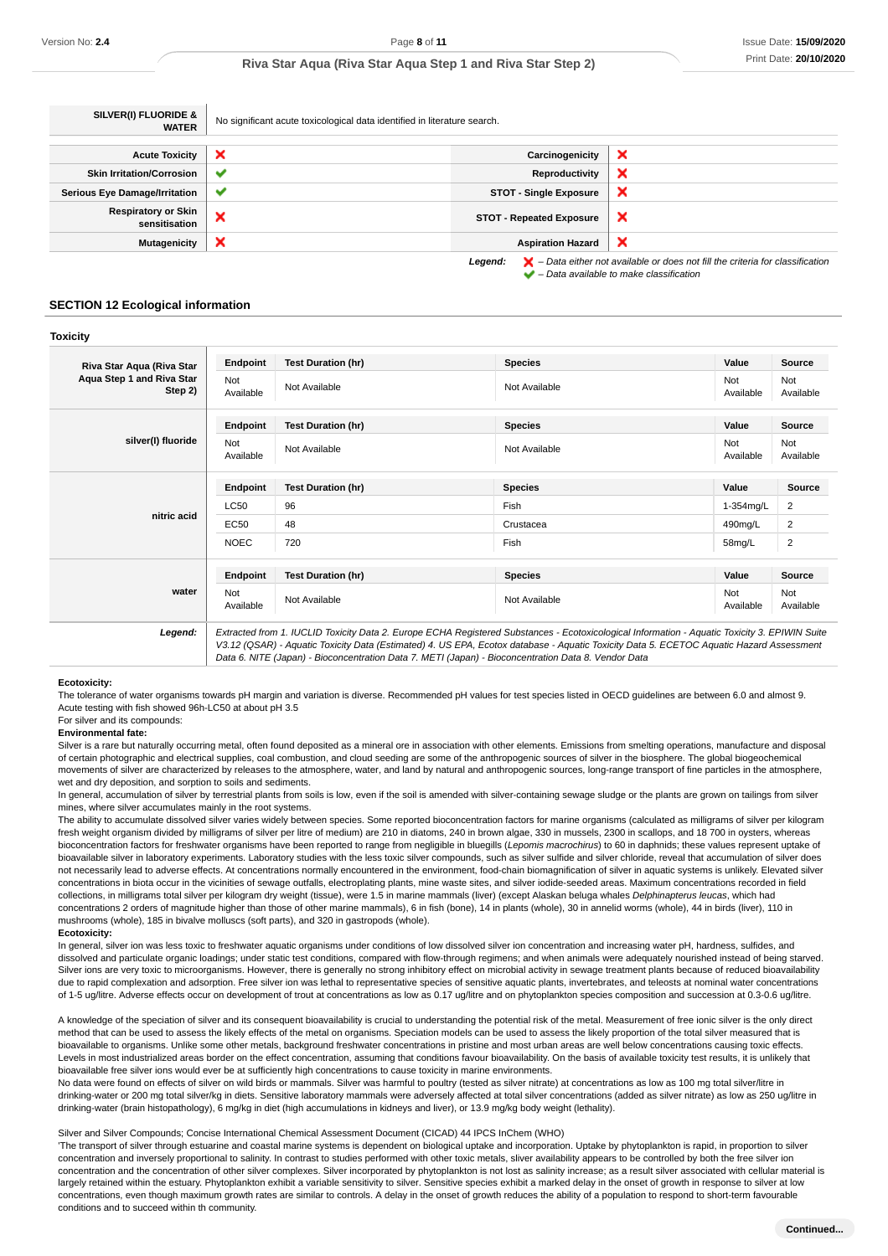| SILVER(I) FLUORIDE &<br><b>WATER</b>        | No significant acute toxicological data identified in literature search. |                                 |                                                                                                                                                                     |
|---------------------------------------------|--------------------------------------------------------------------------|---------------------------------|---------------------------------------------------------------------------------------------------------------------------------------------------------------------|
|                                             |                                                                          |                                 |                                                                                                                                                                     |
| <b>Acute Toxicity</b>                       | ×                                                                        | Carcinogenicity                 | ×                                                                                                                                                                   |
| <b>Skin Irritation/Corrosion</b>            | $\checkmark$                                                             | Reproductivity                  | ×                                                                                                                                                                   |
| <b>Serious Eye Damage/Irritation</b>        | $\checkmark$                                                             | <b>STOT - Single Exposure</b>   | ×                                                                                                                                                                   |
| <b>Respiratory or Skin</b><br>sensitisation | ×                                                                        | <b>STOT - Repeated Exposure</b> | ×                                                                                                                                                                   |
| <b>Mutagenicity</b>                         | ×                                                                        | <b>Aspiration Hazard</b>        | ×                                                                                                                                                                   |
|                                             |                                                                          | Legend:                         | $\blacktriangleright$ - Data either not available or does not fill the criteria for classification<br>$\blacktriangleright$ - Data available to make classification |

#### **SECTION 12 Ecological information**

#### **Toxicity**

| Not<br>Available | Not Available             | Not Available  | Not<br>Available | Not<br>Available        |
|------------------|---------------------------|----------------|------------------|-------------------------|
| Endpoint         | <b>Test Duration (hr)</b> | <b>Species</b> | Value            | <b>Source</b>           |
| Not<br>Available | Not Available             | Not Available  | Not<br>Available | Not<br>Available        |
| Endpoint         | <b>Test Duration (hr)</b> | <b>Species</b> | Value            | Source                  |
| <b>LC50</b>      | 96                        | Fish           | 1-354mg/L        | 2                       |
| <b>EC50</b>      | 48                        | Crustacea      | 490mg/L          | 2                       |
| <b>NOEC</b>      | 720                       | Fish           | 58mg/L           | $\overline{\mathbf{c}}$ |
| Endpoint         | <b>Test Duration (hr)</b> | <b>Species</b> | Value            | Source                  |
| Not<br>Available | Not Available             | Not Available  | Not<br>Available | Not<br>Available        |
|                  |                           |                |                  |                         |

Data 6. NITE (Japan) - Bioconcentration Data 7. METI (Japan) - Bioconcentration Data 8. Vendor Data

#### **Ecotoxicity:**

The tolerance of water organisms towards pH margin and variation is diverse. Recommended pH values for test species listed in OECD guidelines are between 6.0 and almost 9. Acute testing with fish showed 96h-LC50 at about pH 3.5

#### For silver and its compounds:

#### **Environmental fate:**

Silver is a rare but naturally occurring metal, often found deposited as a mineral ore in association with other elements. Emissions from smelting operations, manufacture and disposal of certain photographic and electrical supplies, coal combustion, and cloud seeding are some of the anthropogenic sources of silver in the biosphere. The global biogeochemical movements of silver are characterized by releases to the atmosphere, water, and land by natural and anthropogenic sources, long-range transport of fine particles in the atmosphere, wet and dry deposition, and sorption to soils and sediments.

In general, accumulation of silver by terrestrial plants from soils is low, even if the soil is amended with silver-containing sewage sludge or the plants are grown on tailings from silver mines, where silver accumulates mainly in the root systems.

The ability to accumulate dissolved silver varies widely between species. Some reported bioconcentration factors for marine organisms (calculated as milligrams of silver per kilogram fresh weight organism divided by milligrams of silver per litre of medium) are 210 in diatoms, 240 in brown algae, 330 in mussels, 2300 in scallops, and 18 700 in oysters, whereas bioconcentration factors for freshwater organisms have been reported to range from negligible in bluegills (Lepomis macrochirus) to 60 in daphnids; these values represent uptake of bioavailable silver in laboratory experiments. Laboratory studies with the less toxic silver compounds, such as silver sulfide and silver chloride, reveal that accumulation of silver does not necessarily lead to adverse effects. At concentrations normally encountered in the environment, food-chain biomagnification of silver in aquatic systems is unlikely. Elevated silver concentrations in biota occur in the vicinities of sewage outfalls, electroplating plants, mine waste sites, and silver iodide-seeded areas. Maximum concentrations recorded in field collections, in milligrams total silver per kilogram dry weight (tissue), were 1.5 in marine mammals (liver) (except Alaskan beluga whales Delphinapterus leucas, which had concentrations 2 orders of magnitude higher than those of other marine mammals), 6 in fish (bone), 14 in plants (whole), 30 in annelid worms (whole), 44 in birds (liver), 110 in mushrooms (whole), 185 in bivalve molluscs (soft parts), and 320 in gastropods (whole).

#### **Ecotoxicity:**

In general, silver ion was less toxic to freshwater aquatic organisms under conditions of low dissolved silver ion concentration and increasing water pH, hardness, sulfides, and dissolved and particulate organic loadings; under static test conditions, compared with flow-through regimens; and when animals were adequately nourished instead of being starved. Silver ions are very toxic to microorganisms. However, there is generally no strong inhibitory effect on microbial activity in sewage treatment plants because of reduced bioavailability due to rapid complexation and adsorption. Free silver ion was lethal to representative species of sensitive aquatic plants, invertebrates, and teleosts at nominal water concentrations of 1-5 ug/litre. Adverse effects occur on development of trout at concentrations as low as 0.17 ug/litre and on phytoplankton species composition and succession at 0.3-0.6 ug/litre.

A knowledge of the speciation of silver and its consequent bioavailability is crucial to understanding the potential risk of the metal. Measurement of free ionic silver is the only direct method that can be used to assess the likely effects of the metal on organisms. Speciation models can be used to assess the likely proportion of the total silver measured that is bioavailable to organisms. Unlike some other metals, background freshwater concentrations in pristine and most urban areas are well below concentrations causing toxic effects. Levels in most industrialized areas border on the effect concentration, assuming that conditions favour bioavailability. On the basis of available toxicity test results, it is unlikely that bioavailable free silver ions would ever be at sufficiently high concentrations to cause toxicity in marine environments.

No data were found on effects of silver on wild birds or mammals. Silver was harmful to poultry (tested as silver nitrate) at concentrations as low as 100 mg total silver/litre in drinking-water or 200 mg total silver/kg in diets. Sensitive laboratory mammals were adversely affected at total silver concentrations (added as silver nitrate) as low as 250 ug/litre in drinking-water (brain histopathology), 6 mg/kg in diet (high accumulations in kidneys and liver), or 13.9 mg/kg body weight (lethality).

#### Silver and Silver Compounds; Concise International Chemical Assessment Document (CICAD) 44 IPCS InChem (WHO)

'The transport of silver through estuarine and coastal marine systems is dependent on biological uptake and incorporation. Uptake by phytoplankton is rapid, in proportion to silver concentration and inversely proportional to salinity. In contrast to studies performed with other toxic metals, sliver availability appears to be controlled by both the free silver ion concentration and the concentration of other silver complexes. Silver incorporated by phytoplankton is not lost as salinity increase; as a result silver associated with cellular material is largely retained within the estuary. Phytoplankton exhibit a variable sensitivity to silver. Sensitive species exhibit a marked delay in the onset of growth in response to silver at low concentrations, even though maximum growth rates are similar to controls. A delay in the onset of growth reduces the ability of a population to respond to short-term favourable conditions and to succeed within th community.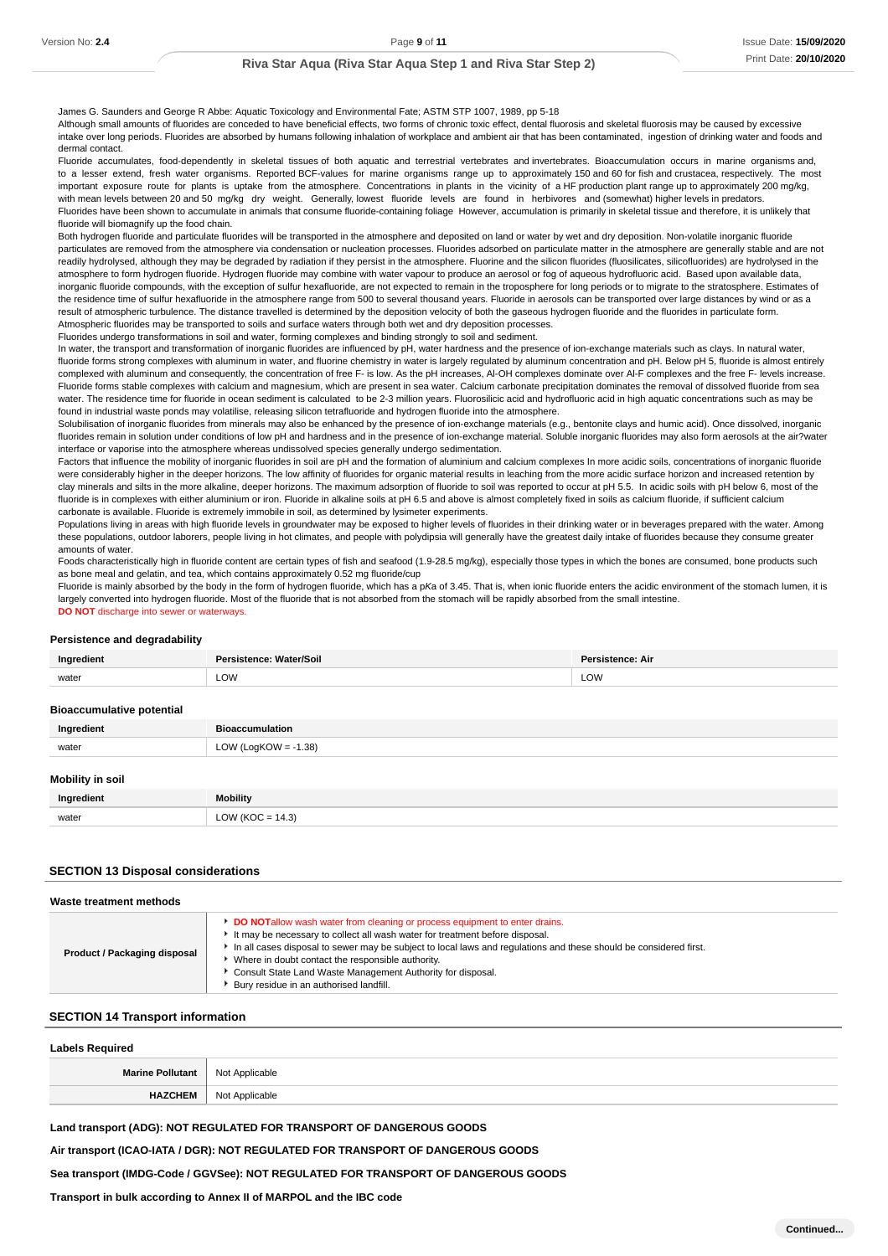James G. Saunders and George R Abbe: Aquatic Toxicology and Environmental Fate; ASTM STP 1007, 1989, pp 5-18

Although small amounts of fluorides are conceded to have beneficial effects, two forms of chronic toxic effect, dental fluorosis and skeletal fluorosis may be caused by excessive intake over long periods. Fluorides are absorbed by humans following inhalation of workplace and ambient air that has been contaminated, ingestion of drinking water and foods and dermal contact.

Fluoride accumulates, food-dependently in skeletal tissues of both aquatic and terrestrial vertebrates and invertebrates. Bioaccumulation occurs in marine organisms and, to a lesser extend, fresh water organisms. Reported BCF-values for marine organisms range up to approximately 150 and 60 for fish and crustacea, respectively. The most important exposure route for plants is uptake from the atmosphere. Concentrations in plants in the vicinity of a HF production plant range up to approximately 200 mg/kg, with mean levels between 20 and 50 mg/kg dry weight. Generally, lowest fluoride levels are found in herbivores and (somewhat) higher levels in predators. Fluorides have been shown to accumulate in animals that consume fluoride-containing foliage However, accumulation is primarily in skeletal tissue and therefore, it is unlikely that fluoride will biomagnify up the food chain.

Both hydrogen fluoride and particulate fluorides will be transported in the atmosphere and deposited on land or water by wet and dry deposition. Non-volatile inorganic fluoride particulates are removed from the atmosphere via condensation or nucleation processes. Fluorides adsorbed on particulate matter in the atmosphere are generally stable and are not readily hydrolysed, although they may be degraded by radiation if they persist in the atmosphere. Fluorine and the silicon fluorides (fluosilicates, silicofluorides) are hydrolysed in the atmosphere to form hydrogen fluoride. Hydrogen fluoride may combine with water vapour to produce an aerosol or fog of aqueous hydrofluoric acid. Based upon available data, inorganic fluoride compounds, with the exception of sulfur hexafluoride, are not expected to remain in the troposphere for long periods or to migrate to the stratosphere. Estimates of the residence time of sulfur hexafluoride in the atmosphere range from 500 to several thousand years. Fluoride in aerosols can be transported over large distances by wind or as a result of atmospheric turbulence. The distance travelled is determined by the deposition velocity of both the gaseous hydrogen fluoride and the fluorides in particulate form. Atmospheric fluorides may be transported to soils and surface waters through both wet and dry deposition processes.

Fluorides undergo transformations in soil and water, forming complexes and binding strongly to soil and sediment.

In water, the transport and transformation of inorganic fluorides are influenced by pH, water hardness and the presence of ion-exchange materials such as clays. In natural water, fluoride forms strong complexes with aluminum in water, and fluorine chemistry in water is largely regulated by aluminum concentration and pH. Below pH 5, fluoride is almost entirely complexed with aluminum and consequently, the concentration of free F- is low. As the pH increases, Al-OH complexes dominate over Al-F complexes and the free F- levels increase. Fluoride forms stable complexes with calcium and magnesium, which are present in sea water. Calcium carbonate precipitation dominates the removal of dissolved fluoride from sea water. The residence time for fluoride in ocean sediment is calculated to be 2-3 million years. Fluorosilicic acid and hydrofluoric acid in high aquatic concentrations such as may be found in industrial waste ponds may volatilise, releasing silicon tetrafluoride and hydrogen fluoride into the atmosphere.

Solubilisation of inorganic fluorides from minerals may also be enhanced by the presence of ion-exchange materials (e.g., bentonite clays and humic acid). Once dissolved, inorganic fluorides remain in solution under conditions of low pH and hardness and in the presence of ion-exchange material. Soluble inorganic fluorides may also form aerosols at the air?water interface or vaporise into the atmosphere whereas undissolved species generally undergo sedimentation.

Factors that influence the mobility of inorganic fluorides in soil are pH and the formation of aluminium and calcium complexes In more acidic soils, concentrations of inorganic fluoride were considerably higher in the deeper horizons. The low affinity of fluorides for organic material results in leaching from the more acidic surface horizon and increased retention by clay minerals and silts in the more alkaline, deeper horizons. The maximum adsorption of fluoride to soil was reported to occur at pH 5.5. In acidic soils with pH below 6, most of the fluoride is in complexes with either aluminium or iron. Fluoride in alkaline soils at pH 6.5 and above is almost completely fixed in soils as calcium fluoride, if sufficient calcium carbonate is available. Fluoride is extremely immobile in soil, as determined by lysimeter experiments.

Populations living in areas with high fluoride levels in groundwater may be exposed to higher levels of fluorides in their drinking water or in beverages prepared with the water. Among these populations, outdoor laborers, people living in hot climates, and people with polydipsia will generally have the greatest daily intake of fluorides because they consume greater amounts of water.

Foods characteristically high in fluoride content are certain types of fish and seafood (1.9-28.5 mg/kg), especially those types in which the bones are consumed, bone products such as bone meal and gelatin, and tea, which contains approximately 0.52 mg fluoride/cup

Fluoride is mainly absorbed by the body in the form of hydrogen fluoride, which has a pKa of 3.45. That is, when ionic fluoride enters the acidic environment of the stomach lumen, it is largely converted into hydrogen fluoride. Most of the fluoride that is not absorbed from the stomach will be rapidly absorbed from the small intestine. **DO NOT** discharge into sewer or waterways.

#### **Persistence and degradability**

| nai<br>edient                                | Vater/Soil<br>. | <b>Doroir</b><br>∴ A⊮ |
|----------------------------------------------|-----------------|-----------------------|
| the contract of the contract of the<br>water | LOW             | LOW                   |

#### **Bioaccumulative potential**

| Ingredient | <b>Bioaccumulation</b>  |
|------------|-------------------------|
| water      | LOW (LogKOW = $-1.38$ ) |
|            |                         |

### **Mobility in soil**

| Ingredient | <b>Mobility</b>   |
|------------|-------------------|
| water      | $OW (KOC = 14.3)$ |

### **SECTION 13 Disposal considerations**

#### **Waste treatment methods**

### **SECTION 14 Transport information**

| <b>Labels Required</b>            |                |  |
|-----------------------------------|----------------|--|
| Marine Pollutant   Not Applicable |                |  |
| <b>HAZCHEM</b>                    | Not Applicable |  |

#### **Land transport (ADG): NOT REGULATED FOR TRANSPORT OF DANGEROUS GOODS**

### **Air transport (ICAO-IATA / DGR): NOT REGULATED FOR TRANSPORT OF DANGEROUS GOODS**

#### **Sea transport (IMDG-Code / GGVSee): NOT REGULATED FOR TRANSPORT OF DANGEROUS GOODS**

#### **Transport in bulk according to Annex II of MARPOL and the IBC code**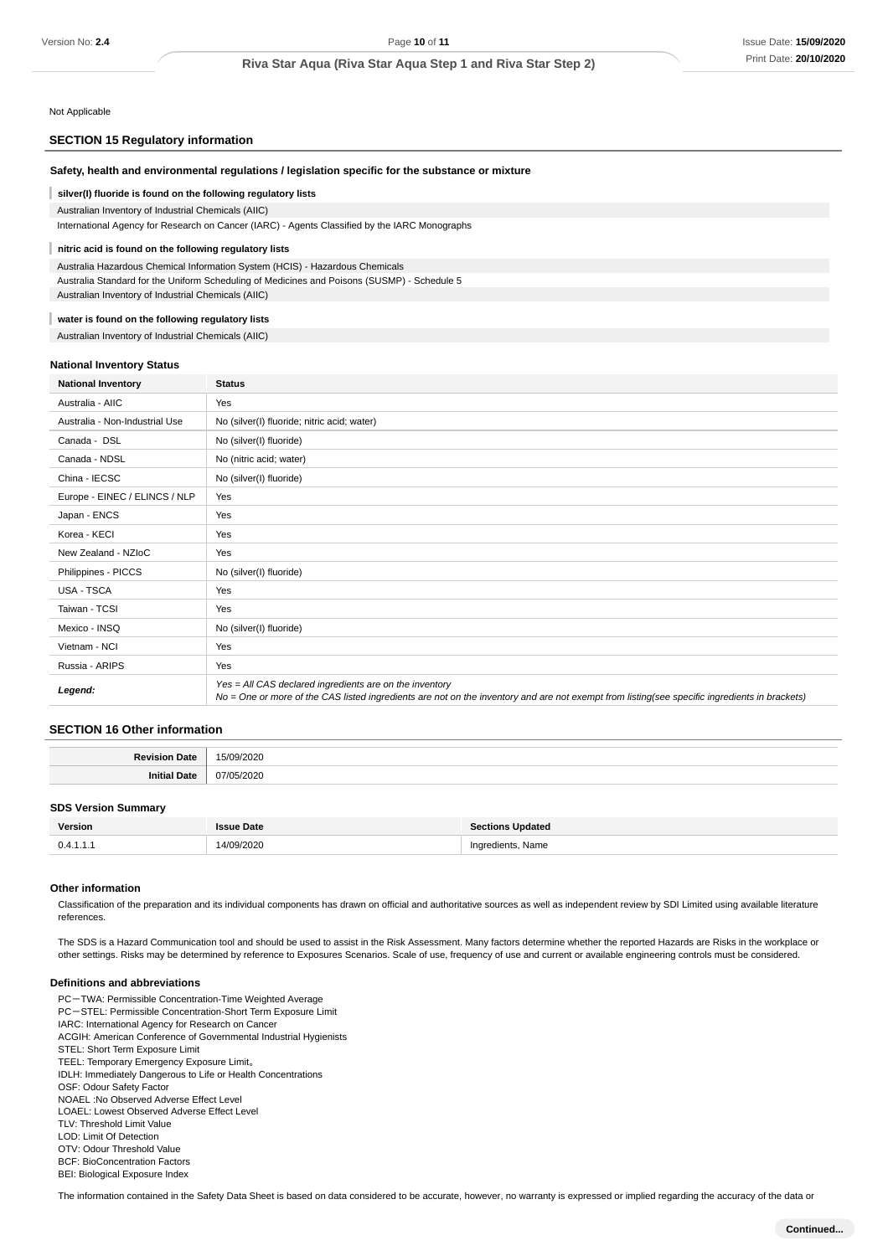Not Applicable

### **SECTION 15 Regulatory information**

| Safety, health and environmental regulations / legislation specific for the substance or mixture |                                                                                                                                                                                                            |  |  |  |  |
|--------------------------------------------------------------------------------------------------|------------------------------------------------------------------------------------------------------------------------------------------------------------------------------------------------------------|--|--|--|--|
| silver(I) fluoride is found on the following regulatory lists                                    |                                                                                                                                                                                                            |  |  |  |  |
| Australian Inventory of Industrial Chemicals (AIIC)                                              |                                                                                                                                                                                                            |  |  |  |  |
|                                                                                                  | International Agency for Research on Cancer (IARC) - Agents Classified by the IARC Monographs                                                                                                              |  |  |  |  |
| nitric acid is found on the following regulatory lists                                           |                                                                                                                                                                                                            |  |  |  |  |
| Australia Hazardous Chemical Information System (HCIS) - Hazardous Chemicals                     |                                                                                                                                                                                                            |  |  |  |  |
| Australia Standard for the Uniform Scheduling of Medicines and Poisons (SUSMP) - Schedule 5      |                                                                                                                                                                                                            |  |  |  |  |
| Australian Inventory of Industrial Chemicals (AIIC)                                              |                                                                                                                                                                                                            |  |  |  |  |
| water is found on the following regulatory lists                                                 |                                                                                                                                                                                                            |  |  |  |  |
| Australian Inventory of Industrial Chemicals (AIIC)                                              |                                                                                                                                                                                                            |  |  |  |  |
|                                                                                                  |                                                                                                                                                                                                            |  |  |  |  |
| <b>National Inventory Status</b>                                                                 |                                                                                                                                                                                                            |  |  |  |  |
| <b>National Inventory</b>                                                                        | <b>Status</b>                                                                                                                                                                                              |  |  |  |  |
| Australia - AIIC                                                                                 | Yes                                                                                                                                                                                                        |  |  |  |  |
| Australia - Non-Industrial Use                                                                   | No (silver(I) fluoride; nitric acid; water)                                                                                                                                                                |  |  |  |  |
| Canada - DSL                                                                                     | No (silver(I) fluoride)                                                                                                                                                                                    |  |  |  |  |
| Canada - NDSL                                                                                    | No (nitric acid; water)                                                                                                                                                                                    |  |  |  |  |
| China - IECSC                                                                                    | No (silver(I) fluoride)                                                                                                                                                                                    |  |  |  |  |
| Europe - EINEC / ELINCS / NLP                                                                    | Yes                                                                                                                                                                                                        |  |  |  |  |
| Japan - ENCS                                                                                     | Yes                                                                                                                                                                                                        |  |  |  |  |
| Korea - KECI                                                                                     | Yes                                                                                                                                                                                                        |  |  |  |  |
| New Zealand - NZIoC                                                                              | Yes                                                                                                                                                                                                        |  |  |  |  |
| Philippines - PICCS                                                                              | No (silver(I) fluoride)                                                                                                                                                                                    |  |  |  |  |
| USA - TSCA                                                                                       | Yes                                                                                                                                                                                                        |  |  |  |  |
| Taiwan - TCSI                                                                                    | Yes                                                                                                                                                                                                        |  |  |  |  |
| Mexico - INSQ                                                                                    | No (silver(I) fluoride)                                                                                                                                                                                    |  |  |  |  |
| Vietnam - NCI                                                                                    | Yes                                                                                                                                                                                                        |  |  |  |  |
| Russia - ARIPS                                                                                   | Yes                                                                                                                                                                                                        |  |  |  |  |
| Legend:                                                                                          | $Yes = All CAS declared ingredients are on the inventory$<br>No = One or more of the CAS listed ingredients are not on the inventory and are not exempt from listing(see specific ingredients in brackets) |  |  |  |  |

### **SECTION 16 Other information**

| at |                        |
|----|------------------------|
|    | .                      |
| лн | $\ddotsc$<br>(17)<br>. |

### **SDS Version Summary**

| Version   | Date            | <b>Sections Updated</b>        |
|-----------|-----------------|--------------------------------|
| 0.4.1.1.1 | 14/09/2020<br>. | Ingredients, Name<br>$-1$<br>. |

### **Other information**

Classification of the preparation and its individual components has drawn on official and authoritative sources as well as independent review by SDI Limited using available literature references.

The SDS is a Hazard Communication tool and should be used to assist in the Risk Assessment. Many factors determine whether the reported Hazards are Risks in the workplace or other settings. Risks may be determined by reference to Exposures Scenarios. Scale of use, frequency of use and current or available engineering controls must be considered.

#### **Definitions and abbreviations**

PC-TWA: Permissible Concentration-Time Weighted Average PC-STEL: Permissible Concentration-Short Term Exposure Limit IARC: International Agency for Research on Cancer ACGIH: American Conference of Governmental Industrial Hygienists STEL: Short Term Exposure Limit TEEL: Temporary Emergency Exposure Limit。 IDLH: Immediately Dangerous to Life or Health Concentrations OSF: Odour Safety Factor NOAEL :No Observed Adverse Effect Level LOAEL: Lowest Observed Adverse Effect Level TLV: Threshold Limit Value LOD: Limit Of Detection OTV: Odour Threshold Value BCF: BioConcentration Factors BEI: Biological Exposure Index

The information contained in the Safety Data Sheet is based on data considered to be accurate, however, no warranty is expressed or implied regarding the accuracy of the data or